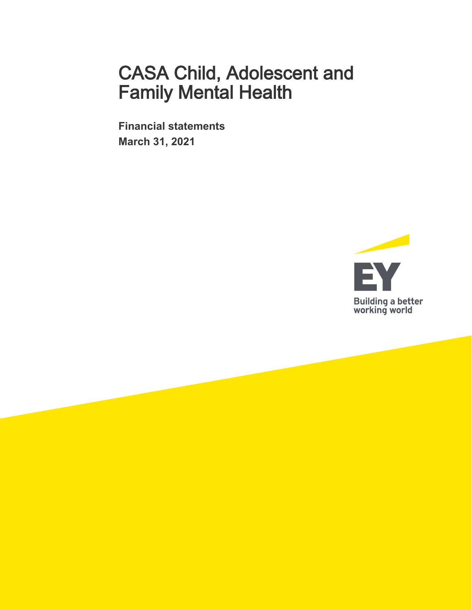**Financial statements March 31, 2021** 

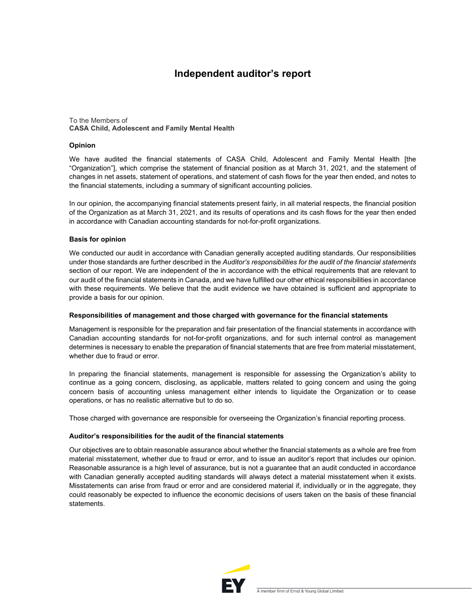## **Independent auditor's report**

#### To the Members of **CASA Child, Adolescent and Family Mental Health**

#### **Opinion**

We have audited the financial statements of CASA Child, Adolescent and Family Mental Health [the "Organization"], which comprise the statement of financial position as at March 31, 2021, and the statement of changes in net assets, statement of operations, and statement of cash flows for the year then ended, and notes to the financial statements, including a summary of significant accounting policies.

In our opinion, the accompanying financial statements present fairly, in all material respects, the financial position of the Organization as at March 31, 2021, and its results of operations and its cash flows for the year then ended in accordance with Canadian accounting standards for not-for-profit organizations.

#### **Basis for opinion**

We conducted our audit in accordance with Canadian generally accepted auditing standards. Our responsibilities under those standards are further described in the *Auditor's responsibilities for the audit of the financial statements*  section of our report. We are independent of the in accordance with the ethical requirements that are relevant to our audit of the financial statements in Canada, and we have fulfilled our other ethical responsibilities in accordance with these requirements. We believe that the audit evidence we have obtained is sufficient and appropriate to provide a basis for our opinion.

#### **Responsibilities of management and those charged with governance for the financial statements**

Management is responsible for the preparation and fair presentation of the financial statements in accordance with Canadian accounting standards for not-for-profit organizations, and for such internal control as management determines is necessary to enable the preparation of financial statements that are free from material misstatement, whether due to fraud or error.

In preparing the financial statements, management is responsible for assessing the Organization's ability to continue as a going concern, disclosing, as applicable, matters related to going concern and using the going concern basis of accounting unless management either intends to liquidate the Organization or to cease operations, or has no realistic alternative but to do so.

Those charged with governance are responsible for overseeing the Organization's financial reporting process.

#### **Auditor's responsibilities for the audit of the financial statements**

Our objectives are to obtain reasonable assurance about whether the financial statements as a whole are free from material misstatement, whether due to fraud or error, and to issue an auditor's report that includes our opinion. Reasonable assurance is a high level of assurance, but is not a guarantee that an audit conducted in accordance with Canadian generally accepted auditing standards will always detect a material misstatement when it exists. Misstatements can arise from fraud or error and are considered material if, individually or in the aggregate, they could reasonably be expected to influence the economic decisions of users taken on the basis of these financial statements.

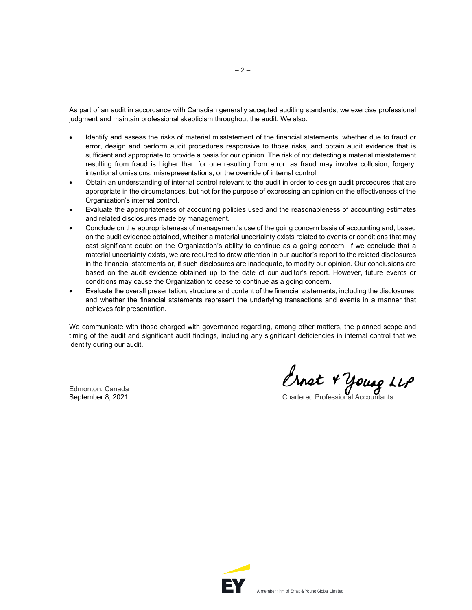As part of an audit in accordance with Canadian generally accepted auditing standards, we exercise professional judgment and maintain professional skepticism throughout the audit. We also:

- Identify and assess the risks of material misstatement of the financial statements, whether due to fraud or error, design and perform audit procedures responsive to those risks, and obtain audit evidence that is sufficient and appropriate to provide a basis for our opinion. The risk of not detecting a material misstatement resulting from fraud is higher than for one resulting from error, as fraud may involve collusion, forgery, intentional omissions, misrepresentations, or the override of internal control.
- Obtain an understanding of internal control relevant to the audit in order to design audit procedures that are appropriate in the circumstances, but not for the purpose of expressing an opinion on the effectiveness of the Organization's internal control.
- Evaluate the appropriateness of accounting policies used and the reasonableness of accounting estimates and related disclosures made by management.
- Conclude on the appropriateness of management's use of the going concern basis of accounting and, based on the audit evidence obtained, whether a material uncertainty exists related to events or conditions that may cast significant doubt on the Organization's ability to continue as a going concern. If we conclude that a material uncertainty exists, we are required to draw attention in our auditor's report to the related disclosures in the financial statements or, if such disclosures are inadequate, to modify our opinion. Our conclusions are based on the audit evidence obtained up to the date of our auditor's report. However, future events or conditions may cause the Organization to cease to continue as a going concern.
- Evaluate the overall presentation, structure and content of the financial statements, including the disclosures, and whether the financial statements represent the underlying transactions and events in a manner that achieves fair presentation.

We communicate with those charged with governance regarding, among other matters, the planned scope and timing of the audit and significant audit findings, including any significant deficiencies in internal control that we identify during our audit.

Edmonton, Canada

Edmonton, Canada<br>September 8, 2021 Chartered Professional Accountants

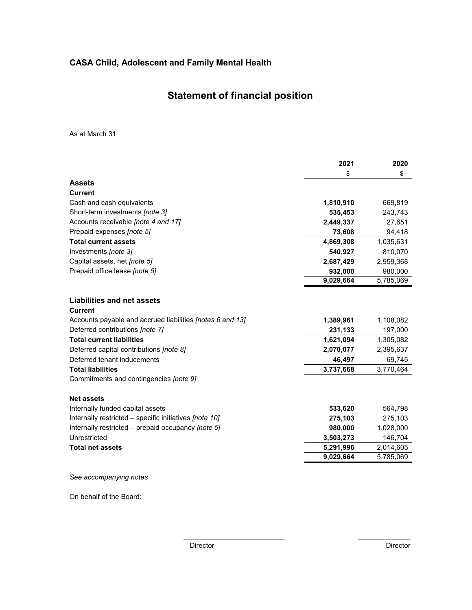## **Statement of financial position**

As at March 31

|                                                           | 2021      | 2020      |
|-----------------------------------------------------------|-----------|-----------|
|                                                           | \$        | \$        |
| <b>Assets</b>                                             |           |           |
| <b>Current</b>                                            |           |           |
| Cash and cash equivalents                                 | 1,810,910 | 669,819   |
| Short-term investments [note 3]                           | 535,453   | 243,743   |
| Accounts receivable [note 4 and 17]                       | 2,449,337 | 27,651    |
| Prepaid expenses [note 5]                                 | 73,608    | 94,418    |
| <b>Total current assets</b>                               | 4,869,308 | 1,035,631 |
| Investments [note 3]                                      | 540,927   | 810,070   |
| Capital assets, net [note 5]                              | 2,687,429 | 2,959,368 |
| Prepaid office lease [note 5]                             | 932,000   | 980,000   |
|                                                           | 9,029,664 | 5,785,069 |
|                                                           |           |           |
| <b>Liabilities and net assets</b>                         |           |           |
| <b>Current</b>                                            |           |           |
| Accounts payable and accrued liabilities [notes 6 and 13] | 1,389,961 | 1,108,082 |
| Deferred contributions [note 7]                           | 231,133   | 197,000   |
| <b>Total current liabilities</b>                          | 1,621,094 | 1,305,082 |
| Deferred capital contributions [note 8]                   | 2,070,077 | 2,395,637 |
| Deferred tenant inducements                               | 46,497    | 69,745    |
| <b>Total liabilities</b>                                  | 3,737,668 | 3,770,464 |
| Commitments and contingencies [note 9]                    |           |           |
| <b>Net assets</b>                                         |           |           |
| Internally funded capital assets                          | 533,620   | 564,798   |
| Internally restricted - specific initiatives [note 10]    | 275,103   | 275,103   |
| Internally restricted – prepaid occupancy [note 5]        | 980,000   | 1,028,000 |
| Unrestricted                                              | 3,503,273 | 146,704   |
| <b>Total net assets</b>                                   | 5,291,996 | 2,014,605 |
|                                                           | 9,029,664 | 5,785,069 |
| See accompanying notes                                    |           |           |
|                                                           |           |           |

On behalf of the Board:

 $\mathcal{L}_\text{max}$  and  $\mathcal{L}_\text{max}$  and  $\mathcal{L}_\text{max}$  and  $\mathcal{L}_\text{max}$  and  $\mathcal{L}_\text{max}$ 

 $\overline{\phantom{a}}$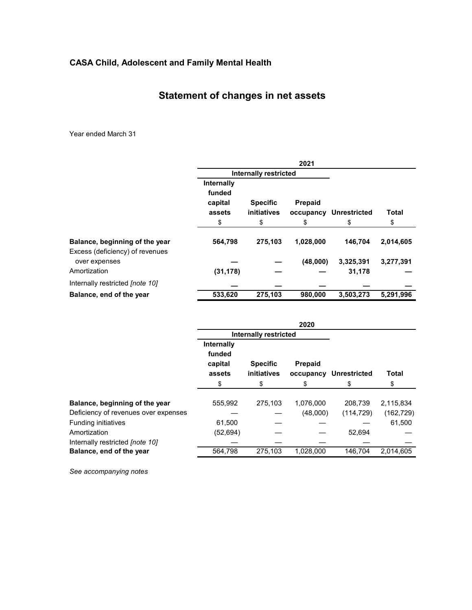## **Statement of changes in net assets**

Year ended March 31

|                                                  |                                                 |                                      | 2021                              |                           |                    |
|--------------------------------------------------|-------------------------------------------------|--------------------------------------|-----------------------------------|---------------------------|--------------------|
|                                                  |                                                 | <b>Internally restricted</b>         |                                   |                           |                    |
|                                                  | Internally<br>funded<br>capital<br>assets<br>\$ | <b>Specific</b><br>initiatives<br>\$ | <b>Prepaid</b><br>occupancy<br>\$ | <b>Unrestricted</b><br>\$ | <b>Total</b><br>\$ |
| Balance, beginning of the year                   | 564,798                                         | 275,103                              | 1,028,000                         | 146,704                   | 2,014,605          |
| Excess (deficiency) of revenues<br>over expenses |                                                 |                                      | (48,000)                          | 3,325,391                 | 3,277,391          |
| Amortization                                     | (31, 178)                                       |                                      |                                   | 31,178                    |                    |
| Internally restricted <i>[note 10]</i>           |                                                 |                                      |                                   |                           |                    |
| Balance, end of the year                         | 533,620                                         | 275,103                              | 980,000                           | 3,503,273                 | 5,291,996          |

|                                        |                                 |                              | 2020      |                        |            |
|----------------------------------------|---------------------------------|------------------------------|-----------|------------------------|------------|
|                                        |                                 | <b>Internally restricted</b> |           |                        |            |
|                                        | Internally<br>funded<br>capital | <b>Specific</b>              | Prepaid   |                        |            |
|                                        | assets                          | initiatives                  |           | occupancy Unrestricted | Total      |
|                                        | \$                              | S                            | \$        | S                      | \$         |
| Balance, beginning of the year         | 555,992                         | 275,103                      | 1,076,000 | 208,739                | 2,115,834  |
| Deficiency of revenues over expenses   |                                 |                              | (48,000)  | (114, 729)             | (162, 729) |
| <b>Funding initiatives</b>             | 61,500                          |                              |           |                        | 61,500     |
| Amortization                           | (52, 694)                       |                              |           | 52,694                 |            |
| Internally restricted <i>[note 10]</i> |                                 |                              |           |                        |            |
| Balance, end of the year               | 564.798                         | 275,103                      | 1,028,000 | 146.704                | 2.014.605  |

*See accompanying notes*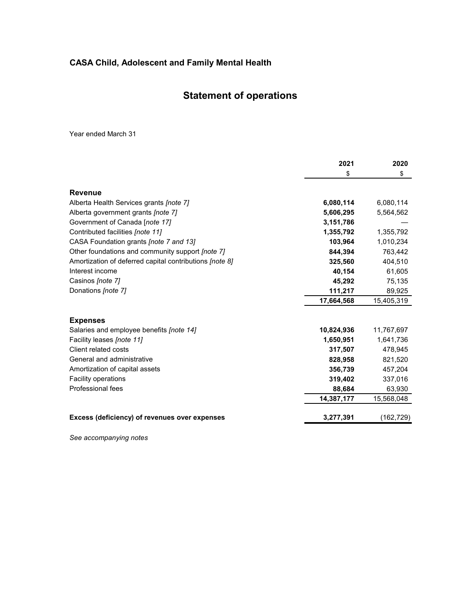## **Statement of operations**

Year ended March 31

|                                                         | 2021       | 2020       |
|---------------------------------------------------------|------------|------------|
|                                                         | \$         | \$         |
| <b>Revenue</b>                                          |            |            |
| Alberta Health Services grants [note 7]                 | 6,080,114  | 6,080,114  |
| Alberta government grants [note 7]                      | 5,606,295  | 5,564,562  |
| Government of Canada [note 17]                          | 3,151,786  |            |
| Contributed facilities [note 11]                        | 1,355,792  | 1,355,792  |
| CASA Foundation grants <i>[note 7 and 13]</i>           | 103,964    | 1,010,234  |
| Other foundations and community support [note 7]        | 844.394    | 763,442    |
| Amortization of deferred capital contributions [note 8] | 325,560    | 404,510    |
| Interest income                                         | 40,154     | 61,605     |
| Casinos [note 7]                                        | 45,292     | 75,135     |
| Donations [note 7]                                      | 111,217    | 89,925     |
|                                                         | 17,664,568 | 15,405,319 |
| <b>Expenses</b>                                         |            |            |
| Salaries and employee benefits <i>[note 14]</i>         | 10,824,936 | 11,767,697 |
| Facility leases <i>[note 11]</i>                        | 1,650,951  | 1,641,736  |
| Client related costs                                    | 317,507    | 478,945    |
| General and administrative                              | 828,958    | 821,520    |
| Amortization of capital assets                          | 356,739    | 457,204    |
| <b>Facility operations</b>                              | 319,402    | 337,016    |
| Professional fees                                       | 88,684     | 63,930     |
|                                                         | 14,387,177 | 15,568,048 |
| Excess (deficiency) of revenues over expenses           | 3,277,391  | (162,729)  |

*See accompanying notes*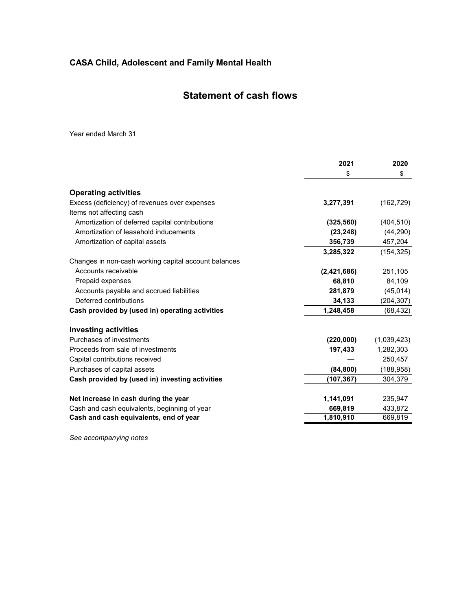## **Statement of cash flows**

Year ended March 31

|                                                      | 2021        | 2020        |
|------------------------------------------------------|-------------|-------------|
|                                                      | \$          | \$          |
| <b>Operating activities</b>                          |             |             |
| Excess (deficiency) of revenues over expenses        | 3,277,391   | (162, 729)  |
| Items not affecting cash                             |             |             |
| Amortization of deferred capital contributions       | (325, 560)  | (404, 510)  |
| Amortization of leasehold inducements                | (23, 248)   | (44, 290)   |
| Amortization of capital assets                       | 356,739     | 457,204     |
|                                                      | 3,285,322   | (154, 325)  |
| Changes in non-cash working capital account balances |             |             |
| Accounts receivable                                  | (2,421,686) | 251,105     |
| Prepaid expenses                                     | 68,810      | 84,109      |
| Accounts payable and accrued liabilities             | 281,879     | (45, 014)   |
| Deferred contributions                               | 34,133      | (204, 307)  |
| Cash provided by (used in) operating activities      | 1,248,458   | (68,432)    |
| <b>Investing activities</b>                          |             |             |
| Purchases of investments                             | (220,000)   | (1,039,423) |
| Proceeds from sale of investments                    | 197,433     | 1,282,303   |
| Capital contributions received                       |             | 250,457     |
| Purchases of capital assets                          | (84, 800)   | (188, 958)  |
| Cash provided by (used in) investing activities      | (107,367)   | 304,379     |
| Net increase in cash during the year                 | 1,141,091   | 235,947     |
| Cash and cash equivalents, beginning of year         | 669,819     | 433,872     |
| Cash and cash equivalents, end of year               | 1,810,910   | 669,819     |
|                                                      |             |             |

*See accompanying notes*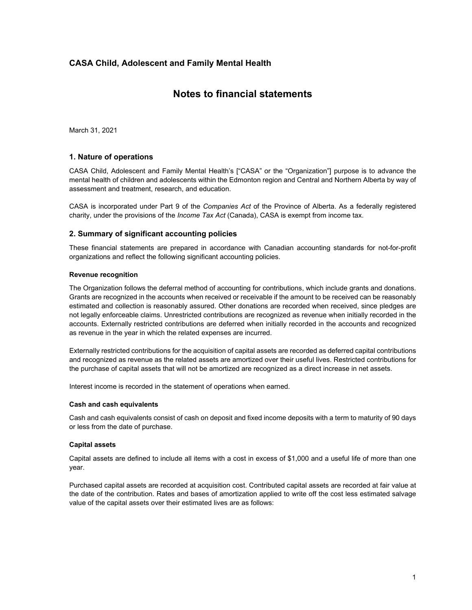## **Notes to financial statements**

March 31, 2021

### **1. Nature of operations**

CASA Child, Adolescent and Family Mental Health's ["CASA" or the "Organization"] purpose is to advance the mental health of children and adolescents within the Edmonton region and Central and Northern Alberta by way of assessment and treatment, research, and education.

CASA is incorporated under Part 9 of the *Companies Act* of the Province of Alberta. As a federally registered charity, under the provisions of the *Income Tax Act* (Canada), CASA is exempt from income tax.

#### **2. Summary of significant accounting policies**

These financial statements are prepared in accordance with Canadian accounting standards for not-for-profit organizations and reflect the following significant accounting policies.

#### **Revenue recognition**

The Organization follows the deferral method of accounting for contributions, which include grants and donations. Grants are recognized in the accounts when received or receivable if the amount to be received can be reasonably estimated and collection is reasonably assured. Other donations are recorded when received, since pledges are not legally enforceable claims. Unrestricted contributions are recognized as revenue when initially recorded in the accounts. Externally restricted contributions are deferred when initially recorded in the accounts and recognized as revenue in the year in which the related expenses are incurred.

Externally restricted contributions for the acquisition of capital assets are recorded as deferred capital contributions and recognized as revenue as the related assets are amortized over their useful lives. Restricted contributions for the purchase of capital assets that will not be amortized are recognized as a direct increase in net assets.

Interest income is recorded in the statement of operations when earned.

#### **Cash and cash equivalents**

Cash and cash equivalents consist of cash on deposit and fixed income deposits with a term to maturity of 90 days or less from the date of purchase.

#### **Capital assets**

Capital assets are defined to include all items with a cost in excess of \$1,000 and a useful life of more than one year.

Purchased capital assets are recorded at acquisition cost. Contributed capital assets are recorded at fair value at the date of the contribution. Rates and bases of amortization applied to write off the cost less estimated salvage value of the capital assets over their estimated lives are as follows: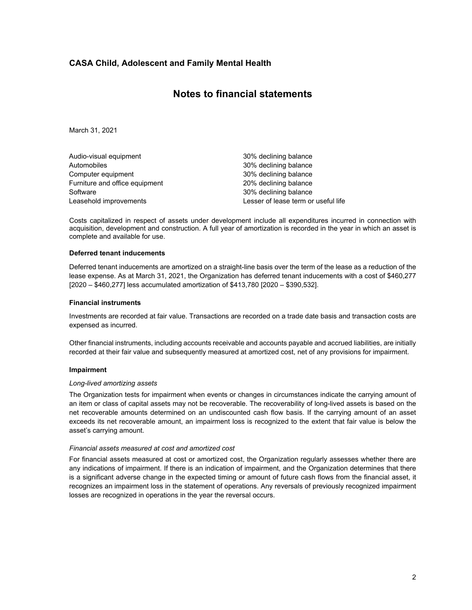## **Notes to financial statements**

March 31, 2021

| Audio-visual equipment         | 30% declining balance               |
|--------------------------------|-------------------------------------|
| Automobiles                    | 30% declining balance               |
| Computer equipment             | 30% declining balance               |
| Furniture and office equipment | 20% declining balance               |
| Software                       | 30% declining balance               |
| Leasehold improvements         | Lesser of lease term or useful life |

Costs capitalized in respect of assets under development include all expenditures incurred in connection with acquisition, development and construction. A full year of amortization is recorded in the year in which an asset is complete and available for use.

#### **Deferred tenant inducements**

Deferred tenant inducements are amortized on a straight-line basis over the term of the lease as a reduction of the lease expense. As at March 31, 2021, the Organization has deferred tenant inducements with a cost of \$460,277 [2020 – \$460,277] less accumulated amortization of \$413,780 [2020 – \$390,532].

#### **Financial instruments**

Investments are recorded at fair value. Transactions are recorded on a trade date basis and transaction costs are expensed as incurred.

Other financial instruments, including accounts receivable and accounts payable and accrued liabilities, are initially recorded at their fair value and subsequently measured at amortized cost, net of any provisions for impairment.

#### **Impairment**

#### *Long-lived amortizing assets*

The Organization tests for impairment when events or changes in circumstances indicate the carrying amount of an item or class of capital assets may not be recoverable. The recoverability of long-lived assets is based on the net recoverable amounts determined on an undiscounted cash flow basis. If the carrying amount of an asset exceeds its net recoverable amount, an impairment loss is recognized to the extent that fair value is below the asset's carrying amount.

#### *Financial assets measured at cost and amortized cost*

For financial assets measured at cost or amortized cost, the Organization regularly assesses whether there are any indications of impairment. If there is an indication of impairment, and the Organization determines that there is a significant adverse change in the expected timing or amount of future cash flows from the financial asset, it recognizes an impairment loss in the statement of operations. Any reversals of previously recognized impairment losses are recognized in operations in the year the reversal occurs.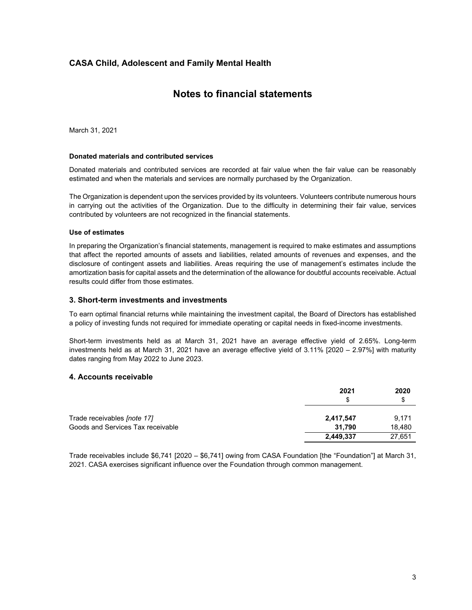## **Notes to financial statements**

March 31, 2021

#### **Donated materials and contributed services**

Donated materials and contributed services are recorded at fair value when the fair value can be reasonably estimated and when the materials and services are normally purchased by the Organization.

The Organization is dependent upon the services provided by its volunteers. Volunteers contribute numerous hours in carrying out the activities of the Organization. Due to the difficulty in determining their fair value, services contributed by volunteers are not recognized in the financial statements.

#### **Use of estimates**

In preparing the Organization's financial statements, management is required to make estimates and assumptions that affect the reported amounts of assets and liabilities, related amounts of revenues and expenses, and the disclosure of contingent assets and liabilities. Areas requiring the use of management's estimates include the amortization basis for capital assets and the determination of the allowance for doubtful accounts receivable. Actual results could differ from those estimates.

#### **3. Short-term investments and investments**

To earn optimal financial returns while maintaining the investment capital, the Board of Directors has established a policy of investing funds not required for immediate operating or capital needs in fixed-income investments.

Short-term investments held as at March 31, 2021 have an average effective yield of 2.65%. Long-term investments held as at March 31, 2021 have an average effective yield of 3.11% [2020 – 2.97%] with maturity dates ranging from May 2022 to June 2023.

### **4. Accounts receivable**

|                                    | 2021<br>S | 2020<br>S |
|------------------------------------|-----------|-----------|
| Trade receivables <i>[note 17]</i> | 2,417,547 | 9.171     |
| Goods and Services Tax receivable  | 31.790    | 18,480    |
|                                    | 2,449,337 | 27,651    |

Trade receivables include \$6,741 [2020 – \$6,741] owing from CASA Foundation [the "Foundation"] at March 31, 2021. CASA exercises significant influence over the Foundation through common management.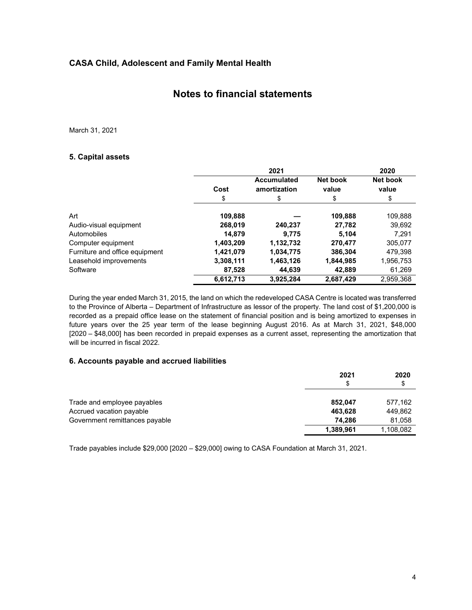## **Notes to financial statements**

March 31, 2021

## **5. Capital assets**

|                                |           | 2021                               |                   | 2020              |
|--------------------------------|-----------|------------------------------------|-------------------|-------------------|
|                                | Cost      | <b>Accumulated</b><br>amortization | Net book<br>value | Net book<br>value |
|                                | \$        | \$                                 | \$                | \$                |
| Art                            | 109,888   |                                    | 109,888           | 109,888           |
| Audio-visual equipment         | 268,019   | 240,237                            | 27,782            | 39,692            |
| Automobiles                    | 14,879    | 9.775                              | 5,104             | 7.291             |
| Computer equipment             | 1,403,209 | 1,132,732                          | 270,477           | 305,077           |
| Furniture and office equipment | 1,421,079 | 1,034,775                          | 386,304           | 479.398           |
| Leasehold improvements         | 3,308,111 | 1,463,126                          | 1,844,985         | 1,956,753         |
| Software                       | 87.528    | 44.639                             | 42.889            | 61,269            |
|                                | 6,612,713 | 3,925,284                          | 2,687,429         | 2.959.368         |

During the year ended March 31, 2015, the land on which the redeveloped CASA Centre is located was transferred to the Province of Alberta – Department of Infrastructure as lessor of the property*.* The land cost of \$1,200,000 is recorded as a prepaid office lease on the statement of financial position and is being amortized to expenses in future years over the 25 year term of the lease beginning August 2016. As at March 31, 2021, \$48,000 [2020 – \$48,000] has been recorded in prepaid expenses as a current asset, representing the amortization that will be incurred in fiscal 2022.

## **6. Accounts payable and accrued liabilities**

|                                | 2021<br>\$ | 2020<br>\$ |
|--------------------------------|------------|------------|
| Trade and employee payables    | 852.047    | 577,162    |
| Accrued vacation payable       | 463,628    | 449,862    |
| Government remittances payable | 74.286     | 81,058     |
|                                | 1,389,961  | 1,108,082  |

Trade payables include \$29,000 [2020 – \$29,000] owing to CASA Foundation at March 31, 2021.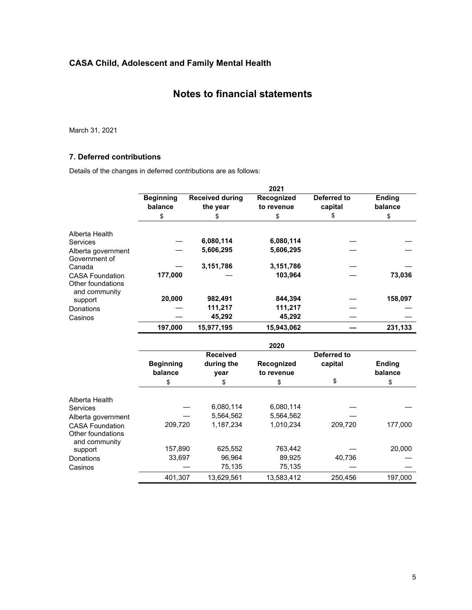## **Notes to financial statements**

March 31, 2021

## **7. Deferred contributions**

Details of the changes in deferred contributions are as follows:

|                                             |                  |                        | 2021       |                    |               |
|---------------------------------------------|------------------|------------------------|------------|--------------------|---------------|
|                                             | <b>Beginning</b> | <b>Received during</b> | Recognized | Deferred to        | <b>Ending</b> |
|                                             | balance          | the year               | to revenue | capital            | balance       |
|                                             | \$               | \$                     | \$         | \$                 | \$            |
| Alberta Health                              |                  |                        |            |                    |               |
| Services                                    |                  | 6,080,114              | 6,080,114  |                    |               |
| Alberta government<br>Government of         |                  | 5,606,295              | 5,606,295  |                    |               |
| Canada                                      |                  | 3,151,786              | 3,151,786  |                    |               |
| <b>CASA Foundation</b><br>Other foundations | 177,000          |                        | 103,964    |                    | 73,036        |
| and community                               | 20,000           | 982,491                | 844,394    |                    | 158,097       |
| support                                     |                  | 111,217                | 111,217    |                    |               |
| Donations                                   |                  | 45,292                 | 45,292     |                    |               |
| Casinos                                     |                  |                        |            |                    |               |
|                                             | 197,000          | 15,977,195             | 15,943,062 |                    | 231,133       |
|                                             |                  |                        | 2020       |                    |               |
|                                             |                  | <b>Received</b>        |            | <b>Deferred to</b> |               |
|                                             | <b>Beginning</b> | during the             | Recognized | capital            | <b>Ending</b> |
|                                             | balance          | year                   | to revenue |                    | balance       |
|                                             | \$               | \$                     | \$         | \$                 | \$            |
| Alberta Health                              |                  |                        |            |                    |               |
| Services                                    |                  | 6,080,114              | 6,080,114  |                    |               |
| Alberta government                          |                  | 5,564,562              | 5,564,562  |                    |               |
| <b>CASA Foundation</b>                      | 209,720          | 1,187,234              | 1,010,234  | 209,720            | 177,000       |
| Other foundations<br>and community          |                  |                        |            |                    |               |
| support                                     | 157,890          | 625,552                | 763,442    |                    | 20,000        |
| Donations                                   | 33,697           | 96,964                 | 89,925     | 40,736             |               |
| Casinos                                     |                  | 75,135                 | 75,135     |                    |               |
|                                             | 401,307          | 13,629,561             | 13,583,412 | 250,456            | 197,000       |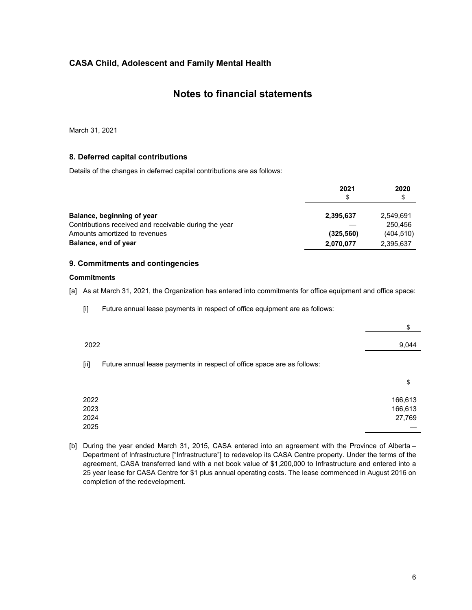## **Notes to financial statements**

March 31, 2021

## **8. Deferred capital contributions**

Details of the changes in deferred capital contributions are as follows:

|                                                       | 2021<br>S  | 2020<br>\$ |
|-------------------------------------------------------|------------|------------|
| Balance, beginning of year                            | 2,395,637  | 2,549,691  |
| Contributions received and receivable during the year |            | 250.456    |
| Amounts amortized to revenues                         | (325, 560) | (404, 510) |
| Balance, end of year                                  | 2,070,077  | 2,395,637  |

## **9. Commitments and contingencies**

#### **Commitments**

[a] As at March 31, 2021, the Organization has entered into commitments for office equipment and office space:

[i] Future annual lease payments in respect of office equipment are as follows:

|                      |                                                                         | \$                           |
|----------------------|-------------------------------------------------------------------------|------------------------------|
| 2022                 |                                                                         | 9,044                        |
| $[iii]$              | Future annual lease payments in respect of office space are as follows: |                              |
|                      |                                                                         | \$                           |
| 2022<br>2023<br>2024 |                                                                         | 166,613<br>166,613<br>27,769 |
| 2025                 |                                                                         |                              |

[b] During the year ended March 31, 2015, CASA entered into an agreement with the Province of Alberta -Department of Infrastructure ["Infrastructure"] to redevelop its CASA Centre property. Under the terms of the agreement, CASA transferred land with a net book value of \$1,200,000 to Infrastructure and entered into a 25 year lease for CASA Centre for \$1 plus annual operating costs. The lease commenced in August 2016 on completion of the redevelopment.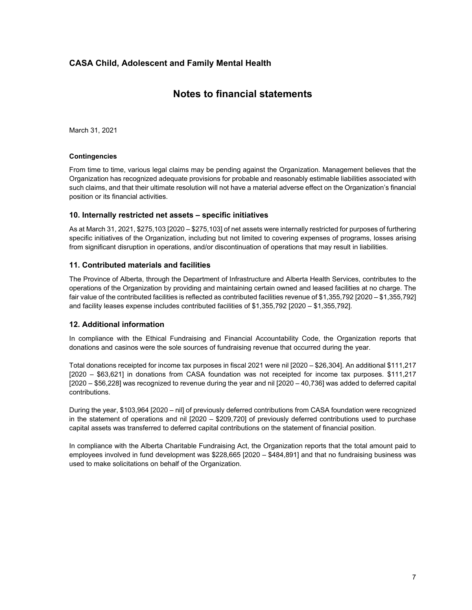## **Notes to financial statements**

March 31, 2021

#### **Contingencies**

From time to time, various legal claims may be pending against the Organization. Management believes that the Organization has recognized adequate provisions for probable and reasonably estimable liabilities associated with such claims, and that their ultimate resolution will not have a material adverse effect on the Organization's financial position or its financial activities.

#### **10. Internally restricted net assets – specific initiatives**

As at March 31, 2021, \$275,103 [2020 – \$275,103] of net assets were internally restricted for purposes of furthering specific initiatives of the Organization, including but not limited to covering expenses of programs, losses arising from significant disruption in operations, and/or discontinuation of operations that may result in liabilities.

#### **11. Contributed materials and facilities**

The Province of Alberta, through the Department of Infrastructure and Alberta Health Services, contributes to the operations of the Organization by providing and maintaining certain owned and leased facilities at no charge. The fair value of the contributed facilities is reflected as contributed facilities revenue of \$1,355,792 [2020 – \$1,355,792] and facility leases expense includes contributed facilities of \$1,355,792 [2020 – \$1,355,792].

#### **12. Additional information**

In compliance with the Ethical Fundraising and Financial Accountability Code, the Organization reports that donations and casinos were the sole sources of fundraising revenue that occurred during the year.

Total donations receipted for income tax purposes in fiscal 2021 were nil [2020 – \$26,304]. An additional \$111,217 [2020 – \$63,621] in donations from CASA foundation was not receipted for income tax purposes. \$111,217 [2020 – \$56,228] was recognized to revenue during the year and nil [2020 – 40,736] was added to deferred capital contributions.

During the year, \$103,964 [2020 – nil] of previously deferred contributions from CASA foundation were recognized in the statement of operations and nil [2020 – \$209,720] of previously deferred contributions used to purchase capital assets was transferred to deferred capital contributions on the statement of financial position.

In compliance with the Alberta Charitable Fundraising Act, the Organization reports that the total amount paid to employees involved in fund development was \$228,665 [2020 – \$484,891] and that no fundraising business was used to make solicitations on behalf of the Organization.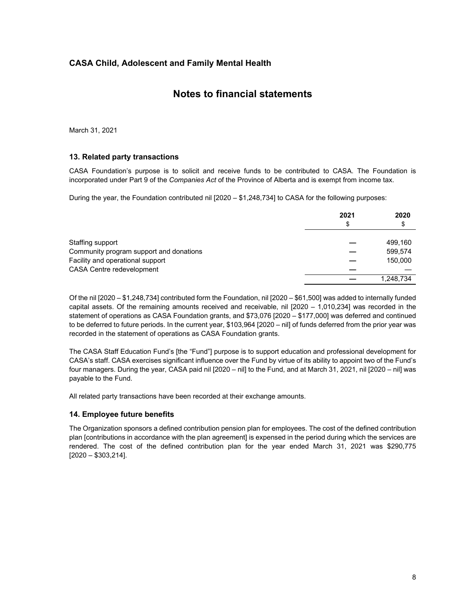## **Notes to financial statements**

March 31, 2021

## **13. Related party transactions**

CASA Foundation's purpose is to solicit and receive funds to be contributed to CASA. The Foundation is incorporated under Part 9 of the *Companies Act* of the Province of Alberta and is exempt from income tax.

During the year, the Foundation contributed nil [2020 – \$1,248,734] to CASA for the following purposes:

|                                         | 2021<br>\$ | 2020<br>\$ |
|-----------------------------------------|------------|------------|
| Staffing support                        |            | 499.160    |
| Community program support and donations |            | 599.574    |
| Facility and operational support        |            | 150,000    |
| <b>CASA Centre redevelopment</b>        |            |            |
|                                         |            | 1.248.734  |

Of the nil [2020 – \$1,248,734] contributed form the Foundation, nil [2020 – \$61,500] was added to internally funded capital assets. Of the remaining amounts received and receivable, nil [2020 – 1,010,234] was recorded in the statement of operations as CASA Foundation grants, and \$73,076 [2020 – \$177,000] was deferred and continued to be deferred to future periods. In the current year, \$103,964 [2020 – nil] of funds deferred from the prior year was recorded in the statement of operations as CASA Foundation grants.

The CASA Staff Education Fund's [the "Fund"] purpose is to support education and professional development for CASA's staff. CASA exercises significant influence over the Fund by virtue of its ability to appoint two of the Fund's four managers. During the year, CASA paid nil [2020 – nil] to the Fund, and at March 31, 2021, nil [2020 – nil] was payable to the Fund.

All related party transactions have been recorded at their exchange amounts.

## **14. Employee future benefits**

The Organization sponsors a defined contribution pension plan for employees. The cost of the defined contribution plan [contributions in accordance with the plan agreement] is expensed in the period during which the services are rendered. The cost of the defined contribution plan for the year ended March 31, 2021 was \$290,775 [2020 – \$303,214].